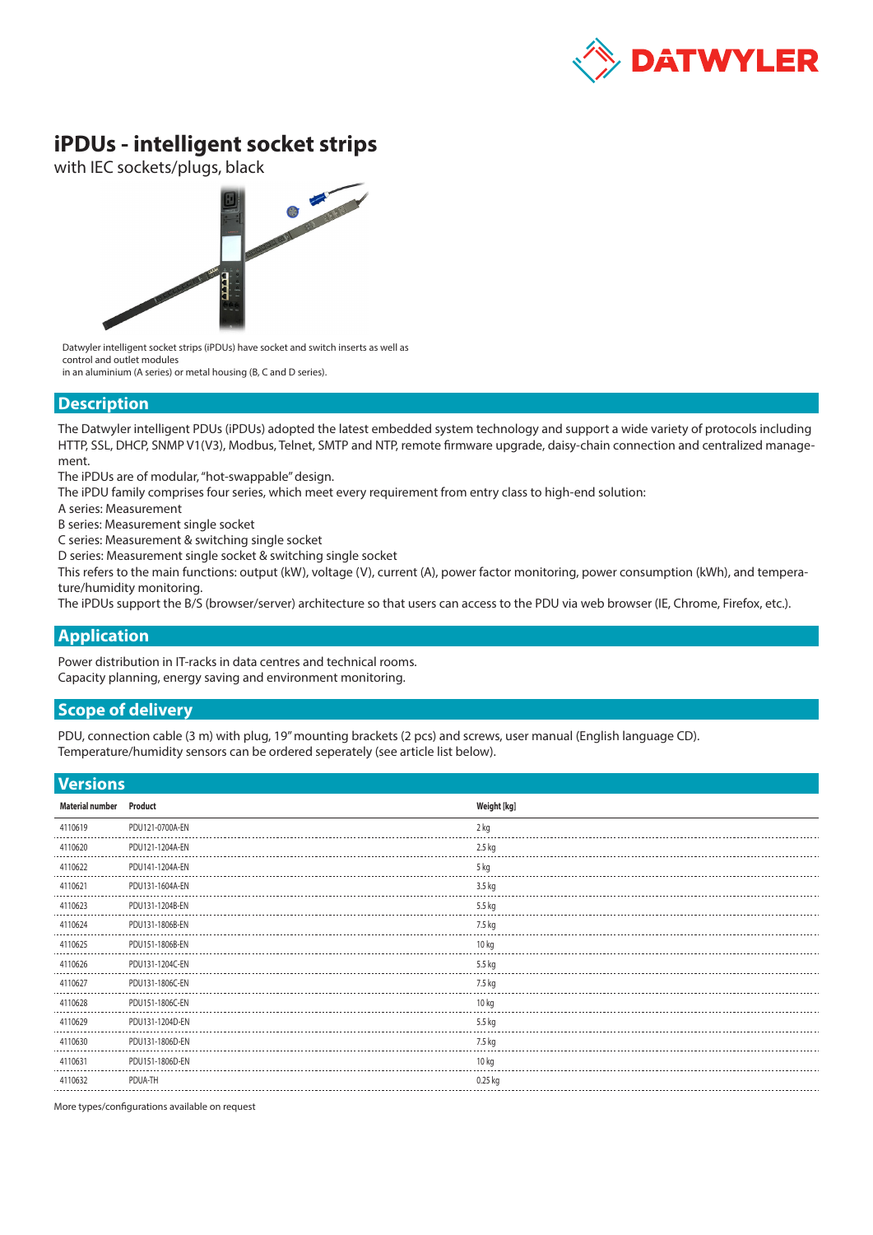

## **iPDUs - intelligent socket strips**

with IEC sockets/plugs, black



Datwyler intelligent socket strips (iPDUs) have socket and switch inserts as well as control and outlet modules

in an aluminium (A series) or metal housing (B, C and D series).

## **Description**

The Datwyler intelligent PDUs (iPDUs) adopted the latest embedded system technology and support a wide variety of protocols including HTTP, SSL, DHCP, SNMP V1(V3), Modbus, Telnet, SMTP and NTP, remote firmware upgrade, daisy-chain connection and centralized management.

The iPDUs are of modular, "hot-swappable" design.

The iPDU family comprises four series, which meet every requirement from entry class to high-end solution:

A series: Measurement

B series: Measurement single socket

C series: Measurement & switching single socket

D series: Measurement single socket & switching single socket

This refers to the main functions: output (kW), voltage (V), current (A), power factor monitoring, power consumption (kWh), and temperature/humidity monitoring.

The iPDUs support the B/S (browser/server) architecture so that users can access to the PDU via web browser (IE, Chrome, Firefox, etc.).

## **Application**

Power distribution in IT-racks in data centres and technical rooms. Capacity planning, energy saving and environment monitoring.

## **Scope of delivery**

PDU, connection cable (3 m) with plug, 19" mounting brackets (2 pcs) and screws, user manual (English language CD). Temperature/humidity sensors can be ordered seperately (see article list below).

**Versions**

| <b>Versions</b>        |                 |                  |
|------------------------|-----------------|------------------|
| <b>Material number</b> | Product         | Weight [kg]      |
| 4110619                | PDU121-0700A-EN | 2 kg             |
| 4110620                | PDU121-1204A-EN | 2.5 kg           |
| 4110622                | PDU141-1204A-EN | 5 kg             |
| 4110621                | PDU131-1604A-EN | 3.5 kg           |
| 4110623                | PDU131-1204B-EN | 5.5 kg           |
| 4110624                | PDU131-1806B-EN | 7.5 kg           |
| 4110625                | PDU151-1806B-EN | 10 kg            |
| 4110626                | PDU131-1204C-EN | 5.5 kg           |
| 4110627                | PDU131-1806C-EN | 7.5 kg           |
| 4110628                | PDU151-1806C-EN | 10 <sub>kq</sub> |
| 4110629                | PDU131-1204D-EN | 5.5 kg           |
| 4110630                | PDU131-1806D-EN | 7.5 kg           |
| 4110631                | PDU151-1806D-EN | 10 <sub>kq</sub> |
| 4110632                | PDUA-TH         | $0.25$ kg        |
|                        |                 |                  |

More types/configurations available on request